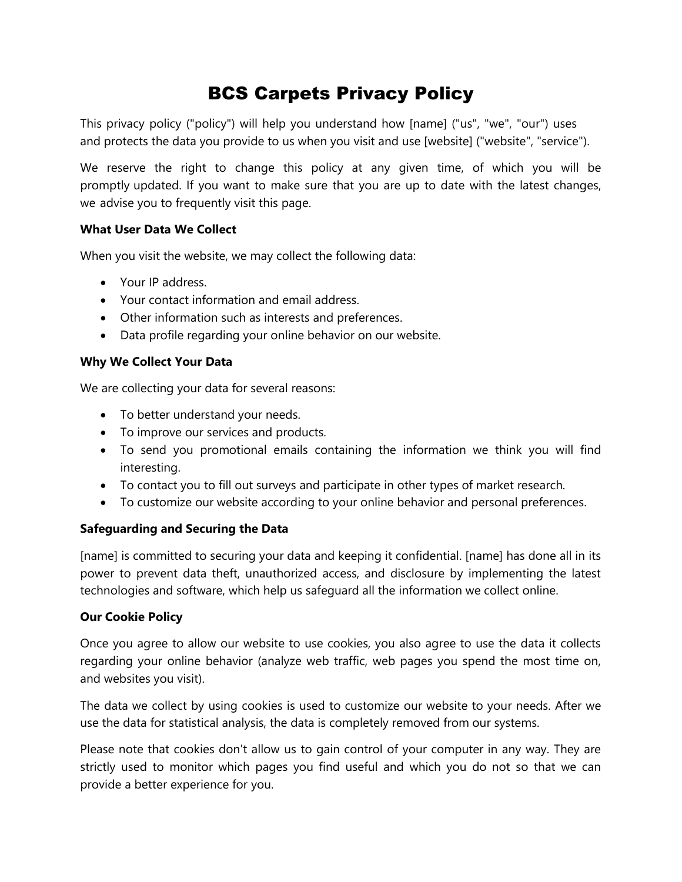# BCS Carpets Privacy Policy

This privacy policy ("policy") will help you understand how [name] ("us", "we", "our") uses and protects the data you provide to us when you visit and use [website] ("website", "service").

We reserve the right to change this policy at any given time, of which you will be promptly updated. If you want to make sure that you are up to date with the latest changes, we advise you to frequently visit this page.

# **What User Data We Collect**

When you visit the website, we may collect the following data:

- Your IP address.
- Your contact information and email address.
- Other information such as interests and preferences.
- Data profile regarding your online behavior on our website.

#### **Why We Collect Your Data**

We are collecting your data for several reasons:

- To better understand your needs.
- To improve our services and products.
- To send you promotional emails containing the information we think you will find interesting.
- To contact you to fill out surveys and participate in other types of market research.
- To customize our website according to your online behavior and personal preferences.

# **Safeguarding and Securing the Data**

[name] is committed to securing your data and keeping it confidential. [name] has done all in its power to prevent data theft, unauthorized access, and disclosure by implementing the latest technologies and software, which help us safeguard all the information we collect online.

#### **Our Cookie Policy**

Once you agree to allow our website to use cookies, you also agree to use the data it collects regarding your online behavior (analyze web traffic, web pages you spend the most time on, and websites you visit).

The data we collect by using cookies is used to customize our website to your needs. After we use the data for statistical analysis, the data is completely removed from our systems.

Please note that cookies don't allow us to gain control of your computer in any way. They are strictly used to monitor which pages you find useful and which you do not so that we can provide a better experience for you.